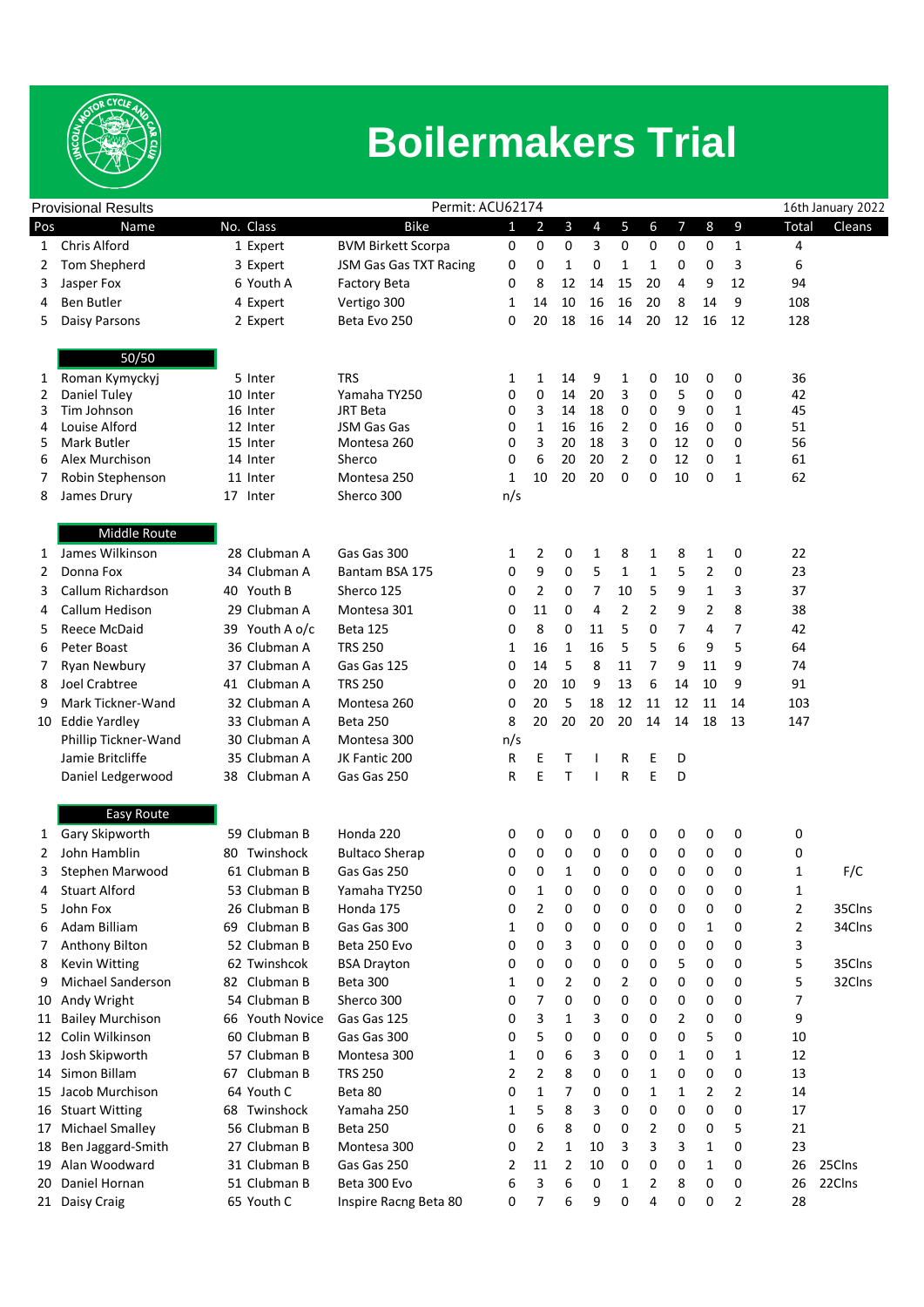

## **Boilermakers Trial**

| <b>Provisional Results</b> |                                        |                           | Permit: ACU62174          |        |                |          |          |                |        |                | 16th January 2022 |              |          |        |
|----------------------------|----------------------------------------|---------------------------|---------------------------|--------|----------------|----------|----------|----------------|--------|----------------|-------------------|--------------|----------|--------|
| Pos                        | Name                                   | No. Class                 | <b>Bike</b>               | 1      | $\overline{2}$ | 3        | 4        | 5              | 6      | $\overline{7}$ | 8                 | 9            | Total    | Cleans |
| 1                          | <b>Chris Alford</b>                    | 1 Expert                  | <b>BVM Birkett Scorpa</b> | 0      | 0              | 0        | 3        | 0              | 0      | 0              | 0                 | 1            | 4        |        |
| 2                          | Tom Shepherd                           | 3 Expert                  | JSM Gas Gas TXT Racing    | 0      | 0              | 1        | 0        | 1              | 1      | 0              | 0                 | 3            | 6        |        |
| 3                          | Jasper Fox                             | 6 Youth A                 | <b>Factory Beta</b>       | 0      | 8              | 12       | 14       | 15             | 20     | 4              | 9                 | 12           | 94       |        |
| 4                          | Ben Butler                             | 4 Expert                  | Vertigo 300               | 1      | 14             | 10       | 16       | 16             | 20     | 8              | 14                | 9            | 108      |        |
| 5                          | Daisy Parsons                          | 2 Expert                  | Beta Evo 250              | 0      | 20             | 18       | 16       | 14             | 20     | 12             | 16                | 12           | 128      |        |
|                            |                                        |                           |                           |        |                |          |          |                |        |                |                   |              |          |        |
|                            | 50/50                                  |                           |                           |        |                |          |          |                |        |                |                   |              |          |        |
| 1                          | Roman Kymyckyj                         | 5 Inter                   | <b>TRS</b>                | 1      | 1              | 14       | 9        | 1              | 0      | 10             | 0                 | 0            | 36       |        |
| 2                          | Daniel Tuley<br>Tim Johnson            | 10 Inter                  | Yamaha TY250<br>JRT Beta  | 0<br>0 | 0              | 14<br>14 | 20<br>18 | 3<br>0         | 0<br>0 | 5<br>9         | 0<br>0            | 0<br>1       | 42<br>45 |        |
| 3<br>4                     | Louise Alford                          | 16 Inter<br>12 Inter      | JSM Gas Gas               | 0      | 3<br>1         | 16       | 16       | 2              | 0      | 16             | 0                 | 0            | 51       |        |
| 5                          | Mark Butler                            | 15 Inter                  | Montesa 260               | 0      | 3              | 20       | 18       | 3              | 0      | 12             | 0                 | 0            | 56       |        |
| 6                          | Alex Murchison                         | 14 Inter                  | Sherco                    | 0      | 6              | 20       | 20       | $\overline{2}$ | 0      | 12             | 0                 | 1            | 61       |        |
| 7                          | Robin Stephenson                       | 11 Inter                  | Montesa 250               | 1      | 10             | 20       | 20       | 0              | 0      | 10             | 0                 | $\mathbf{1}$ | 62       |        |
| 8                          | James Drury                            | 17 Inter                  | Sherco 300                | n/s    |                |          |          |                |        |                |                   |              |          |        |
|                            |                                        |                           |                           |        |                |          |          |                |        |                |                   |              |          |        |
|                            | <b>Middle Route</b><br>James Wilkinson |                           |                           |        |                |          |          |                |        |                |                   |              |          |        |
| $\mathbf{1}$               |                                        | 28 Clubman A              | Gas Gas 300               | 1      | 2              | 0        | 1        | 8              | 1      | 8              | 1                 | 0            | 22       |        |
| 2                          | Donna Fox                              | 34 Clubman A              | Bantam BSA 175            | 0      | 9              | 0        | 5        | 1              | 1      | 5              | 2                 | 0            | 23       |        |
| 3                          | Callum Richardson                      | 40 Youth B                | Sherco 125                | 0      | 2              | 0        | 7        | 10             | 5      | 9              | 1                 | 3            | 37       |        |
| 4                          | Callum Hedison                         | 29 Clubman A              | Montesa 301               | 0      | 11             | 0        | 4        | 2              | 2      | 9              | 2                 | 8            | 38       |        |
| 5                          | Reece McDaid                           | 39 Youth A o/c            | <b>Beta 125</b>           | 0      | 8              | 0        | 11       | 5              | 0      | 7              | 4                 | 7            | 42       |        |
| 6                          | Peter Boast                            | 36 Clubman A              | <b>TRS 250</b>            | 1      | 16             | 1        | 16       | 5              | 5      | 6              | 9                 | 5            | 64       |        |
| 7                          | Ryan Newbury                           | 37 Clubman A              | Gas Gas 125               | 0      | 14             | 5        | 8        | 11             | 7      | 9              | 11                | 9            | 74       |        |
| 8                          | Joel Crabtree                          | 41 Clubman A              | <b>TRS 250</b>            | 0      | 20             | 10       | 9        | 13             | 6      | 14             | 10                | 9            | 91       |        |
| 9                          | Mark Tickner-Wand                      | 32 Clubman A              | Montesa 260               | 0      | 20             | 5        | 18       | 12             | 11     | 12             | 11                | 14           | 103      |        |
| 10                         | <b>Eddie Yardley</b>                   | 33 Clubman A              | <b>Beta 250</b>           | 8      | 20             | 20       | 20       | 20             | 14     | 14             | 18                | 13           | 147      |        |
|                            | Phillip Tickner-Wand                   | 30 Clubman A              | Montesa 300               | n/s    |                |          |          |                |        |                |                   |              |          |        |
|                            | Jamie Britcliffe                       | 35 Clubman A              | JK Fantic 200             | R      | Ε              | Τ        |          | R              | Ε      | D              |                   |              |          |        |
|                            | Daniel Ledgerwood                      | Clubman A<br>38           | Gas Gas 250               | R      | E              | T        |          | R              | E      | D              |                   |              |          |        |
|                            | Easy Route                             |                           |                           |        |                |          |          |                |        |                |                   |              |          |        |
| $\mathbf{1}$               | Gary Skipworth                         | 59 Clubman B              | Honda 220                 | 0      | 0              | 0        | 0        | 0              | 0      | 0              | 0                 | 0            | 0        |        |
| 2                          | John Hamblin                           | Twinshock<br>80           | <b>Bultaco Sherap</b>     | 0      | 0              | 0        | 0        | 0              | 0      | 0              | 0                 | 0            | 0        |        |
| 3                          | Stephen Marwood                        | 61 Clubman B              | Gas Gas 250               | 0      | 0              | 1        | 0        | 0              | 0      | 0              | 0                 | 0            | 1        | F/C    |
| 4                          | <b>Stuart Alford</b>                   | 53 Clubman B              | Yamaha TY250              | 0      | $\mathbf{1}$   | 0        | 0        | 0              | 0      | 0              | 0                 | 0            | 1        |        |
| 5                          | John Fox                               | 26 Clubman B              | Honda 175                 | 0      | 2              | 0        | 0        | 0              | 0      | 0              | 0                 | 0            | 2        | 35Clns |
| 6                          | Adam Billiam                           | 69 Clubman B              | Gas Gas 300               | 1      | 0              | 0        | 0        | 0              | 0      | 0              | 1                 | 0            | 2        | 34Clns |
| 7                          | Anthony Bilton                         | 52 Clubman B              | Beta 250 Evo              | 0      | 0              | 3        | 0        | 0              | 0      | 0              | 0                 | 0            | 3        |        |
| 8                          | <b>Kevin Witting</b>                   | 62 Twinshcok              | <b>BSA Drayton</b>        | 0      | 0              | 0        | 0        | 0              | 0      | 5              | 0                 | 0            | 5        | 35Clns |
| 9                          | Michael Sanderson                      | 82 Clubman B              | <b>Beta 300</b>           | 1      | 0              | 2        | 0        | 2              | 0      | 0              | 0                 | 0            | 5        | 32Clns |
| 10                         | Andy Wright                            | 54 Clubman B              | Sherco 300                | 0      | 7              | 0        | 0        | 0              | 0      | 0              | 0                 | 0            | 7        |        |
| 11                         | <b>Bailey Murchison</b>                | <b>Youth Novice</b><br>66 | Gas Gas 125               | 0      | 3              | 1        | 3        | 0              | 0      | 2              | 0                 | 0            | 9        |        |
| 12                         | Colin Wilkinson                        | 60 Clubman B              | Gas Gas 300               | 0      | 5              | 0        | 0        | 0              | 0      | 0              | 5                 | 0            | 10       |        |
| 13                         | Josh Skipworth                         | 57 Clubman B              | Montesa 300               | 1      | 0              | 6        | 3        | 0              | 0      | 1              | 0                 | 1            | 12       |        |
| 14                         | Simon Billam                           | 67 Clubman B              | <b>TRS 250</b>            | 2      | 2              | 8        | 0        | 0              | 1      | 0              | 0                 | 0            | 13       |        |
| 15                         | Jacob Murchison                        | 64 Youth C                | Beta 80                   | 0      | 1              | 7        | 0        | 0              | 1      | 1              | 2                 | 2            | 14       |        |
| 16                         | <b>Stuart Witting</b>                  | Twinshock<br>68           | Yamaha 250                | 1      | 5              | 8        | 3        | 0              | 0      | 0              | 0                 | 0            | 17       |        |
| 17                         | Michael Smalley                        | 56 Clubman B              | <b>Beta 250</b>           | 0      | 6              | 8        | 0        | 0              | 2      | 0              | 0                 | 5            | 21       |        |
| 18                         | Ben Jaggard-Smith                      | 27 Clubman B              | Montesa 300               | 0      | 2              | 1        | 10       | 3              | 3      | 3              | 1                 | 0            | 23       |        |
|                            | 19 Alan Woodward                       | 31 Clubman B              | Gas Gas 250               | 2      | 11             | 2        | 10       | 0              | 0      | 0              | 1                 | 0            | 26       | 25Clns |
| 20                         | Daniel Hornan                          | 51 Clubman B              | Beta 300 Evo              | 6      | 3              | 6        | 0        | 1              | 2      | 8              | 0                 | 0            | 26       | 22Clns |
|                            | 21 Daisy Craig                         | 65 Youth C                | Inspire Racng Beta 80     | 0      | 7              | 6        | 9        | 0              | 4      | 0              | 0                 | 2            | 28       |        |